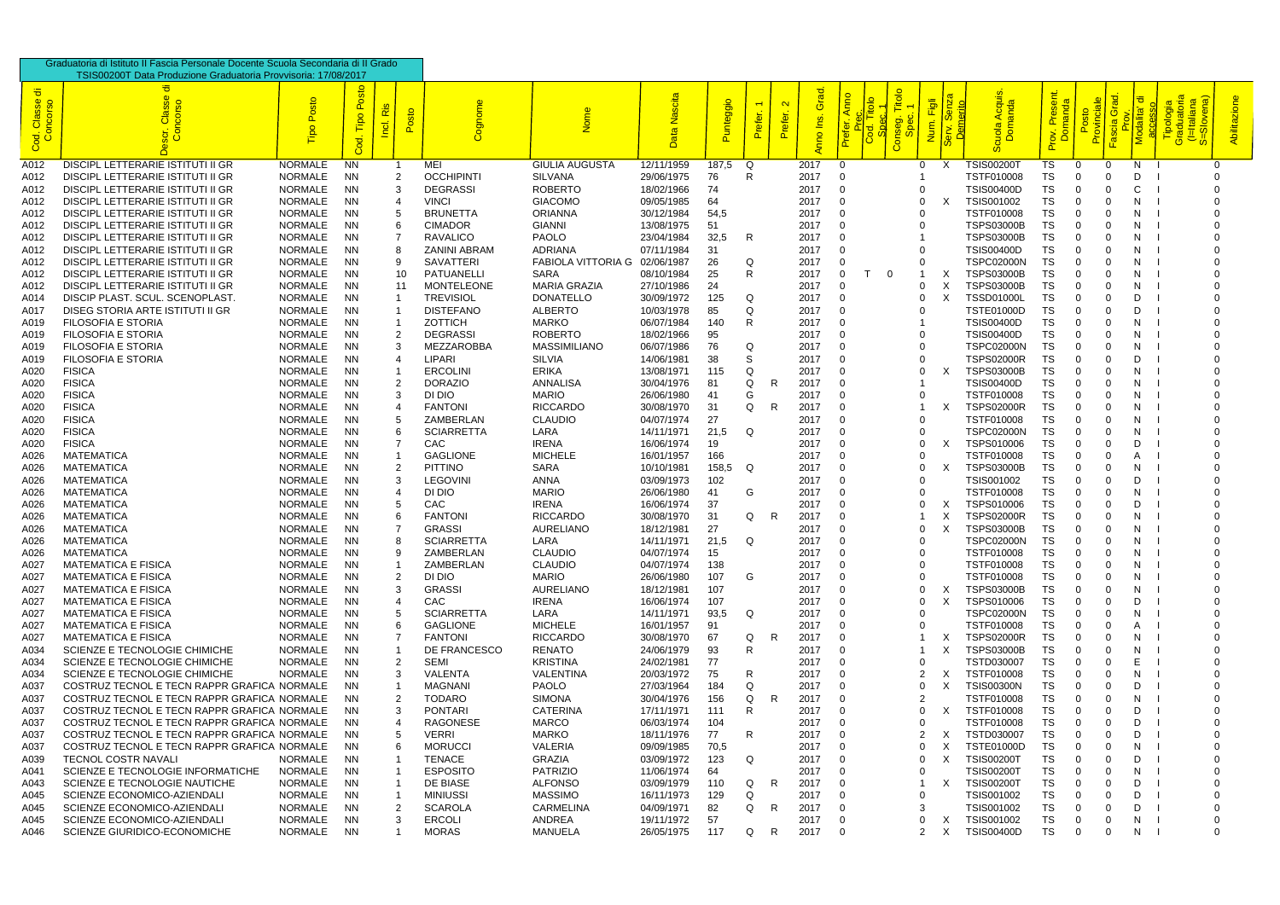| Graduatoria di Istituto II Fascia Personale Docente Scuola Secondaria di II Grado |                                                                                            |                                  |                        |     |                 |                                   |                                      |                          |              |                                           |                              |              |             |                                          |                |                           |                                        |                              |             |                      |         |                         |           |
|-----------------------------------------------------------------------------------|--------------------------------------------------------------------------------------------|----------------------------------|------------------------|-----|-----------------|-----------------------------------|--------------------------------------|--------------------------|--------------|-------------------------------------------|------------------------------|--------------|-------------|------------------------------------------|----------------|---------------------------|----------------------------------------|------------------------------|-------------|----------------------|---------|-------------------------|-----------|
|                                                                                   | TSIS00200T Data Produzione Graduatoria Provvisoria: 17/08/2017                             |                                  |                        |     |                 |                                   |                                      |                          |              |                                           |                              |              |             |                                          |                |                           |                                        |                              |             |                      |         |                         |           |
| ੱਹ<br>Cod. Classe<br>Concorso                                                     |                                                                                            | osto                             | $\Omega$<br>$\circ$    | Ris | sto<br>$\Omega$ |                                   |                                      | scita<br>粤<br>Data       | ggi          | $\overline{\phantom{0}}$<br>৳<br>$\Omega$ | $\mathbf{\Omega}$<br>Prefer. | Grad<br>g    | Anno<br>efe | Titolo<br><b>g</b><br><mark>င်္ကာ</mark> |                | $\bar{\bar{z}}$           |                                        | $\mathbf{a}$<br>$\mathbf{a}$ |             |                      |         | <u>.ಥ</u> :<br><u>ာ</u> | Abilitazi |
| A012                                                                              | <b>DISCIPL LETTERARIE ISTITUTI II GR</b>                                                   | <b>NORMALE</b>                   | <b>NN</b>              |     |                 | MEI                               | <b>GIULIA AUGUSTA</b>                | 12/11/1959               | 187,5        | Q                                         |                              | 2017         | $\Omega$    |                                          | 0              | X                         | <b>TSIS002001</b>                      | TS                           | 0           | $\Omega$             | N.      | $\Omega$                |           |
| A012                                                                              | DISCIPL LETTERARIE ISTITUTI II GR                                                          | <b>NORMALE</b>                   | <b>NN</b>              |     |                 | <b>OCCHIPINTI</b>                 | <b>SILVANA</b>                       | 29/06/1975               | 76           | R                                         |                              | 2017         |             |                                          |                |                           | TSTF010008                             | TS                           |             |                      | D       |                         |           |
| A012                                                                              | DISCIPL LETTERARIE ISTITUTI II GR                                                          | <b>NORMALE</b>                   | <b>NN</b>              |     |                 | <b>DEGRASSI</b>                   | <b>ROBERTO</b>                       | 18/02/1966               | 74           |                                           |                              | 2017         |             |                                          | 0              |                           | <b>TSIS00400D</b>                      | TS                           |             | $\Omega$             | C       |                         |           |
| A012                                                                              | DISCIPL LETTERARIE ISTITUTI II GR                                                          | <b>NORMALE</b>                   | <b>NN</b>              |     |                 | <b>VINCI</b>                      | <b>GIACOMO</b>                       | 09/05/1985               | 64           |                                           |                              | 2017         |             |                                          | $\Omega$       | $\times$                  | TSIS001002                             | TS                           |             | $\Omega$             | N       |                         |           |
| A012                                                                              | <b>DISCIPL LETTERARIE ISTITUTI II GR</b>                                                   | <b>NORMALE</b>                   | <b>NN</b><br><b>NN</b> | 6   |                 | <b>BRUNETTA</b><br><b>CIMADOR</b> | <b>ORIANNA</b><br><b>GIANNI</b>      | 30/12/1984               | 54,5         |                                           |                              | 2017<br>2017 |             |                                          | $\Omega$       |                           | TSTF010008                             | TS                           |             | $\Omega$             | N<br>N  |                         |           |
| A012<br>A012                                                                      | DISCIPL LETTERARIE ISTITUTI II GR<br>DISCIPL LETTERARIE ISTITUTI II GR                     | <b>NORMALE</b><br><b>NORMALE</b> | <b>NN</b>              |     |                 | <b>RAVALICO</b>                   | <b>PAOLO</b>                         | 13/08/1975<br>23/04/1984 | 51<br>32,5   | R                                         |                              | 2017         |             |                                          |                |                           | <b>TSPS03000B</b><br><b>TSPS03000B</b> | TS<br>TS                     |             | $\Omega$             | N       |                         |           |
| A012                                                                              | DISCIPL LETTERARIE ISTITUTI II GR                                                          | <b>NORMALE</b>                   | <b>NN</b>              |     |                 | <b>ZANINI ABRAM</b>               | <b>ADRIANA</b>                       | 07/11/1984               | 31           |                                           |                              | 2017         |             |                                          |                |                           | <b>TSIS00400D</b>                      | TS                           |             |                      |         |                         |           |
| A012                                                                              | DISCIPL LETTERARIE ISTITUTI II GR                                                          | <b>NORMALE</b>                   | <b>NN</b>              |     |                 | <b>SAVATTERI</b>                  | <b>FABIOLA VITTORIA G</b>            | 02/06/1987               | 26           | Q                                         |                              | 2017         |             |                                          | $\Omega$       |                           | <b>TSPC02000N</b>                      | TS                           |             | $\Omega$             |         |                         |           |
| A012                                                                              | <b>DISCIPL LETTERARIE ISTITUTI II GR</b>                                                   | <b>NORMALE</b>                   | <b>NN</b>              |     | 10              | <b>PATUANELLI</b>                 | <b>SARA</b>                          | 08/10/1984               | 25           | R.                                        |                              | 2017         |             | - 0                                      |                |                           | <b>TSPS03000B</b>                      | TS                           |             |                      |         |                         |           |
| A012                                                                              | DISCIPL LETTERARIE ISTITUTI II GR                                                          | NORMALE                          | <b>NN</b>              | 11  |                 | <b>MONTELEONE</b>                 | <b>MARIA GRAZIA</b>                  | 27/10/1986               | 24           |                                           |                              | 2017         |             |                                          | 0              |                           | <b>TSPS03000B</b>                      | TS                           |             |                      | N       |                         |           |
| A014                                                                              | DISCIP PLAST. SCUL. SCENOPLAST                                                             | NORMALE                          | <b>NN</b>              |     |                 | <b>TREVISIOL</b>                  | <b>DONATELLO</b>                     | 30/09/1972               | 125          | Q                                         |                              | 2017         |             |                                          | 0              |                           | <b>TSSD01000L</b>                      | TS                           |             |                      | D       |                         |           |
| A017                                                                              | DISEG STORIA ARTE ISTITUTI II GR                                                           | NORMALE                          | <b>NN</b>              |     |                 | <b>DISTEFANO</b>                  | <b>ALBERTO</b>                       | 10/03/1978               | 85           | Q                                         |                              | 2017         |             |                                          |                |                           | <b>TSTE01000D</b>                      | TS                           |             | $\Omega$             | D       |                         |           |
| A019                                                                              | <b>FILOSOFIA E STORIA</b>                                                                  | NORMALE                          | <b>NN</b>              |     |                 | <b>ZOTTICH</b>                    | <b>MARKO</b>                         | 06/07/1984               | 140          | R.                                        |                              | 2017         |             |                                          |                |                           | <b>TSIS00400D</b>                      | TS                           |             | $\Omega$             | N       |                         |           |
| A019                                                                              | <b>FILOSOFIA E STORIA</b>                                                                  | NORMALE                          | <b>NN</b>              | 2   |                 | <b>DEGRASSI</b>                   | <b>ROBERTO</b>                       | 18/02/1966               | 95           |                                           |                              | 2017         |             |                                          | $\Omega$       |                           | <b>TSIS00400D</b>                      | TS                           |             | $\Omega$             | N       |                         |           |
| A019<br>A019                                                                      | <b>FILOSOFIA E STORIA</b><br><b>FILOSOFIA E STORIA</b>                                     | NORMALE<br><b>NORMALE</b>        | <b>NN</b><br><b>NN</b> |     |                 | MEZZAROBBA<br>LIPARI              | <b>MASSIMILIANO</b><br><b>SILVIA</b> | 06/07/1986<br>14/06/1981 | 76<br>38     | Q<br>S                                    |                              | 201<br>201   |             |                                          | $\Omega$       |                           | <b>TSPC02000N</b><br><b>TSPS02000R</b> | TS<br>TS                     |             |                      | N<br>D  |                         |           |
| A020                                                                              | <b>FISICA</b>                                                                              | NORMALE                          | <b>NN</b>              |     |                 | <b>ERCOLINI</b>                   | <b>ERIKA</b>                         | 13/08/1971               | 115          | O                                         |                              | 2017         |             |                                          | $\Omega$       | X                         | <b>TSPS03000B</b>                      | TS                           |             | $\Omega$             |         |                         |           |
| A020                                                                              | <b>FISICA</b>                                                                              | <b>NORMALE</b>                   | <b>NN</b>              |     |                 | <b>DORAZIO</b>                    | <b>ANNALISA</b>                      | 30/04/1976               | 81           | Ω                                         | R                            | 201          |             |                                          |                |                           | <b>TSIS00400D</b>                      | TS                           |             | $\Omega$             | N       |                         |           |
| A020                                                                              | <b>FISICA</b>                                                                              | <b>NORMALE</b>                   | <b>NN</b>              |     |                 | DI DIO                            | <b>MARIO</b>                         | 26/06/1980               | 41           | G                                         |                              | 201          |             |                                          | $\Omega$       |                           | TSTF010008                             | TS                           |             |                      | N       |                         |           |
| A020                                                                              | <b>FISICA</b>                                                                              | <b>NORMALE</b>                   | <b>NN</b>              |     |                 | <b>FANTONI</b>                    | <b>RICCARDO</b>                      | 30/08/1970               | 31           | Q                                         | R                            | 2017         |             |                                          |                | $\times$                  | <b>TSPS02000R</b>                      | TS                           |             | $\Omega$             | N       |                         |           |
| A020                                                                              | <b>FISICA</b>                                                                              | NORMALE                          | <b>NN</b>              |     |                 | ZAMBERLAN                         | <b>CLAUDIO</b>                       | 04/07/1974               | 27           |                                           |                              | 2017         |             |                                          | $\Omega$       |                           | TSTF010008                             | TS                           |             | $\Omega$             | N       |                         |           |
| A020                                                                              | <b>FISICA</b>                                                                              | NORMALE                          | <b>NN</b>              | 6   |                 | <b>SCIARRETTA</b>                 | LARA                                 | 14/11/1971               | 21,5         | Q                                         |                              | 2017         |             |                                          | $\Omega$       |                           | <b>TSPC02000N</b>                      | TS                           |             | $\Omega$             | N       |                         |           |
| A020                                                                              | <b>FISICA</b>                                                                              | NORMALE                          | <b>NN</b>              |     |                 | <b>CAC</b>                        | <b>IRENA</b>                         | 16/06/1974               | 19           |                                           |                              | 201          |             |                                          | 0              | X                         | TSPS010006                             | TS                           |             | $\Omega$             | D       |                         |           |
| A026                                                                              | <b>MATEMATICA</b>                                                                          | <b>NORMALE</b>                   | <b>NN</b>              |     |                 | <b>GAGLIONE</b>                   | <b>MICHELE</b>                       | 16/01/1957               | 166          |                                           |                              | 201          |             |                                          | 0              |                           | TSTF010008                             | TS                           |             |                      |         |                         |           |
| A026<br>A026                                                                      | <b>MATEMATICA</b><br><b>MATEMATICA</b>                                                     | NORMALE<br>NORMALE               | <b>NN</b><br><b>NN</b> |     |                 | <b>PITTINO</b><br><b>LEGOVINI</b> | <b>SARA</b><br><b>ANNA</b>           | 10/10/1981<br>03/09/1973 | 158,5<br>102 | Q                                         |                              | 2017<br>2017 |             |                                          | $\Omega$<br>0  |                           | <b>TSPS03000B</b><br>TSIS001002        | TS<br>TS                     |             | $\Omega$             | N<br>D  |                         |           |
| A026                                                                              | <b>MATEMATICA</b>                                                                          | NORMALE                          | <b>NN</b>              |     |                 | DI DIO                            | <b>MARIO</b>                         | 26/06/1980               | 41           | G                                         |                              | 2017         |             |                                          | $\Omega$       |                           | TSTF010008                             | TS                           |             |                      | N       |                         |           |
| A026                                                                              | <b>MATEMATICA</b>                                                                          | <b>NORMALE</b>                   | <b>NN</b>              |     |                 | CAC                               | <b>IRENA</b>                         | 16/06/1974               | 37           |                                           |                              | 2017         |             |                                          |                |                           | TSPS010006                             | TS                           |             |                      | D       |                         |           |
| A026                                                                              | <b>MATEMATICA</b>                                                                          | <b>NORMALE</b>                   | <b>NN</b>              |     |                 | <b>FANTONI</b>                    | <b>RICCARDO</b>                      | 30/08/1970               | 31           | Q                                         | R                            | 201          |             |                                          |                |                           | <b>TSPS02000R</b>                      | TS                           |             | $\Omega$             | N       |                         |           |
| A026                                                                              | <b>MATEMATICA</b>                                                                          | NORMALE                          | <b>NN</b>              |     |                 | <b>GRASSI</b>                     | <b>AURELIANO</b>                     | 18/12/1981               | 27           |                                           |                              | 2017         |             |                                          | 0              |                           | <b>TSPS03000B</b>                      | TS                           | $\Omega$    | $\Omega$             | N       |                         |           |
| A026                                                                              | <b>MATEMATICA</b>                                                                          | NORMALE                          | <b>NN</b>              |     |                 | <b>SCIARRETTA</b>                 | LARA                                 | 14/11/1971               | 21,5         | $\Omega$                                  |                              | 2017         |             |                                          |                |                           | <b>TSPC02000N</b>                      | <b>TS</b>                    | $\Omega$    | $\Omega$             | N.      |                         |           |
| A026                                                                              | <b>MATEMATICA</b>                                                                          | NORMALE                          | NN                     |     |                 | ZAMBERLAN                         | <b>CLAUDIO</b>                       | 04/07/1974               | 15           |                                           |                              | 2017         |             |                                          | 0              |                           | TSTF010008                             | TS.                          |             | 0                    | N       |                         |           |
| A027                                                                              | <b>MATEMATICA E FISICA</b>                                                                 | NORMALE                          | <b>NN</b>              |     |                 | <b>ZAMBERLAN</b>                  | <b>CLAUDIO</b>                       | 04/07/1974               | 138          |                                           |                              | 2017         |             |                                          |                |                           | TSTF010008                             | TS                           |             | 0                    | N.      |                         |           |
| A027                                                                              | <b>MATEMATICA E FISICA</b><br><b>MATEMATICA E FISICA</b>                                   | NORMALE                          | <b>NN</b>              |     |                 | DI DIO                            | <b>MARIO</b>                         | 26/06/1980               | 107          | G                                         |                              | 2017         |             |                                          | 0              |                           | TSTF010008                             | TS                           |             | $\Omega$             | N.      |                         |           |
| A027<br>A027                                                                      | <b>MATEMATICA E FISICA</b>                                                                 | NORMALE<br>NORMALE               | <b>NN</b><br>NN        |     |                 | <b>GRASSI</b><br><b>CAC</b>       | <b>AURELIANO</b><br><b>IRENA</b>     | 18/12/1981<br>16/06/1974 | 107<br>107   |                                           |                              | 2017<br>2017 |             |                                          | 0<br>0         | X<br>X                    | <b>TSPS03000B</b><br>TSPS010006        | TS<br>TS                     |             | $\Omega$<br>$\Omega$ | N.<br>D |                         |           |
| A027                                                                              | <b>MATEMATICA E FISICA</b>                                                                 | NORMALE                          | NN                     |     |                 | <b>SCIARRETTA</b>                 | LARA                                 | 14/11/1971               | 93,5         | Q                                         |                              | 2017         |             |                                          |                |                           | <b>TSPC02000N</b>                      | TS                           |             | 0                    | N.      |                         |           |
| A027                                                                              | <b>MATEMATICA E FISICA</b>                                                                 | NORMALE                          | <b>NN</b>              |     |                 | <b>GAGLIONE</b>                   | <b>MICHELE</b>                       | 16/01/1957               | 91           |                                           |                              | 2017         |             |                                          |                |                           | TSTF010008                             | TS                           |             | $\Omega$             | A       |                         |           |
| A027                                                                              | <b>MATEMATICA E FISICA</b>                                                                 | NORMALE                          | <b>NN</b>              |     |                 | <b>FANTONI</b>                    | <b>RICCARDO</b>                      | 30/08/1970               | 67           | Q                                         | R.                           | 2017         |             |                                          |                | X                         | <b>TSPS02000R</b>                      | TS                           |             | $\Omega$             | N.      |                         |           |
| A034                                                                              | SCIENZE E TECNOLOGIE CHIMICHE                                                              | NORMALE                          | NN                     |     |                 | DE FRANCESCO                      | <b>RENATO</b>                        | 24/06/1979               | 93           | R.                                        |                              | 2017         |             |                                          |                | $\boldsymbol{\mathsf{X}}$ | <b>TSPS03000B</b>                      | TS.                          |             | 0                    | N.      |                         |           |
| A034                                                                              | SCIENZE E TECNOLOGIE CHIMICHE                                                              | <b>NORMALE</b>                   | NN                     |     |                 | SEMI                              | <b>KRISTINA</b>                      | 24/02/1981               | 77           |                                           |                              | 2017         |             |                                          | 0              |                           | TSTD030007                             | TS                           |             | 0                    |         |                         |           |
| A034                                                                              | SCIENZE E TECNOLOGIE CHIMICHE                                                              | <b>NORMALE</b>                   | NN                     |     |                 | VALENTA                           | VALENTINA                            | 20/03/1972               | 75           | R                                         |                              | 2017         |             |                                          |                | X                         | TSTF010008                             | TS                           |             | 0                    | N       |                         |           |
| A037                                                                              | COSTRUZ TECNOL E TECN RAPPR GRAFICA NORMALE                                                |                                  | NN.                    |     |                 | <b>MAGNANI</b>                    | <b>PAOLO</b>                         | 27/03/1964               | 184          | Q                                         |                              | 2017         |             |                                          | 0              | $\times$                  | <b>TSIS00300N</b>                      | TS                           |             |                      | D       |                         |           |
| A037<br>A037                                                                      | COSTRUZ TECNOL E TECN RAPPR GRAFICA NORMALE<br>COSTRUZ TECNOL E TECN RAPPR GRAFICA NORMALE |                                  | NN.<br>NN.             |     |                 | <b>TODARO</b><br><b>PONTARI</b>   | <b>SIMONA</b><br><b>CATERINA</b>     | 30/04/1976<br>17/11/1971 | 156<br>111   | Q<br>R                                    | R.                           | 2017<br>2017 |             |                                          | 2<br>0         | X                         | TSTF010008<br>TSTF010008               | TS<br>TS                     |             | $\Omega$<br>$\Omega$ | N.<br>D |                         |           |
| A037                                                                              | COSTRUZ TECNOL E TECN RAPPR GRAFICA NORMALE                                                |                                  | NN                     |     |                 | <b>RAGONESE</b>                   | <b>MARCO</b>                         | 06/03/1974               | 104          |                                           |                              | 2017         |             |                                          | 0              |                           | TSTF010008                             | TS                           |             | $\Omega$             | D       |                         |           |
| A037                                                                              | COSTRUZ TECNOL E TECN RAPPR GRAFICA NORMALE                                                |                                  | <b>NN</b>              |     |                 | <b>VERRI</b>                      | <b>MARKO</b>                         | 18/11/1976               | 77           | R.                                        |                              | 2017         |             |                                          | $\overline{2}$ | X                         | TSTD030007                             | TS                           |             | $\Omega$             | D       |                         |           |
| A037                                                                              | COSTRUZ TECNOL E TECN RAPPR GRAFICA NORMALE                                                |                                  | NN                     |     |                 | <b>MORUCCI</b>                    | VALERIA                              | 09/09/1985               | 70,5         |                                           |                              | 2017         |             |                                          | $\Omega$       | X                         | <b>TSTE01000D</b>                      | TS                           |             | 0                    | N.      |                         |           |
| A039                                                                              | <b>TECNOL COSTR NAVALI</b>                                                                 | NORMALE                          | NN                     |     |                 | <b>TENACE</b>                     | GRAZIA                               | 03/09/1972               | 123          | Q                                         |                              | 2017         |             |                                          | 0              |                           | <b>TSIS00200T</b>                      | TS.                          |             | 0                    | D       |                         |           |
| A041                                                                              | SCIENZE E TECNOLOGIE INFORMATICHE                                                          | NORMALE                          | <b>NN</b>              |     |                 | <b>ESPOSITO</b>                   | <b>PATRIZIO</b>                      | 11/06/1974               | 64           |                                           |                              | 2017         |             |                                          | 0              |                           | <b>TSIS00200T</b>                      | TS                           |             | 0                    | N       |                         |           |
| A043                                                                              | SCIENZE E TECNOLOGIE NAUTICHE                                                              | NORMALE                          | <b>NN</b>              |     |                 | DE BIASE                          | <b>ALFONSO</b>                       | 03/09/1979               | 110          | Q                                         | R.                           | 201          |             |                                          |                | X                         | <b>TSIS00200T</b>                      | TS                           |             | $\Omega$             | D       |                         |           |
| A045                                                                              | SCIENZE ECONOMICO-AZIENDALI                                                                | NORMALE                          | NN                     |     |                 | <b>MINIUSSI</b>                   | <b>MASSIMO</b>                       | 16/11/1973               | 129          | Q                                         |                              | 2017         |             |                                          | 0              |                           | TSIS001002                             | TS                           |             | $\Omega$             | D       |                         |           |
| A045<br>A045                                                                      | SCIENZE ECONOMICO-AZIENDALI<br>SCIENZE ECONOMICO-AZIENDALI                                 | NORMALE<br>NORMALE               | NN<br>NN               |     |                 | <b>SCAROLA</b><br><b>ERCOLI</b>   | <b>CARMELINA</b><br>ANDREA           | 04/09/1971<br>19/11/1972 | 82<br>57     | Q                                         | R.                           | 201<br>2017  |             |                                          | 3<br>0         | X                         | TSIS001002<br>TSIS001002               | TS<br>TS                     | 0           | $\Omega$<br>0        | D<br>N. |                         |           |
| A046                                                                              | SCIENZE GIURIDICO-ECONOMICHE                                                               | NORMALE                          | <b>NN</b>              |     |                 | <b>MORAS</b>                      | <b>MANUELA</b>                       | 26/05/1975               | 117          | Q                                         | R.                           | 2017         | - 0         |                                          | $^{2}$         | $\mathsf{X}$              | <b>TSIS00400D</b>                      | TS                           | $\mathbf 0$ | $\Omega$             | N,      | $\Omega$                |           |
|                                                                                   |                                                                                            |                                  |                        |     |                 |                                   |                                      |                          |              |                                           |                              |              |             |                                          |                |                           |                                        |                              |             |                      |         |                         |           |